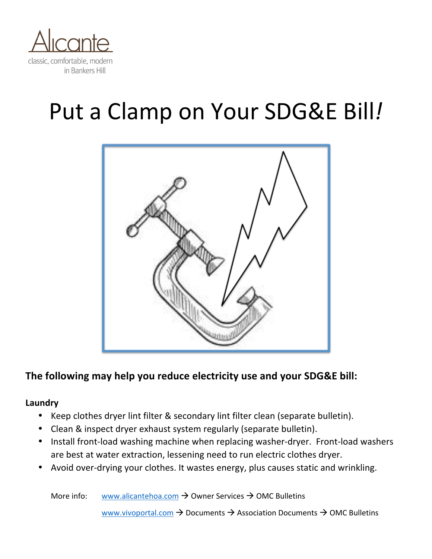

# Put a Clamp on Your SDG&E Bill!



# The following may help you reduce electricity use and your SDG&E bill:

#### **Laundry**

- Keep clothes dryer lint filter & secondary lint filter clean (separate bulletin).
- Clean & inspect dryer exhaust system regularly (separate bulletin).
- Install front-load washing machine when replacing washer-dryer. Front-load washers are best at water extraction, lessening need to run electric clothes dryer.
- Avoid over-drying your clothes. It wastes energy, plus causes static and wrinkling.

More info: www.alicantehoa.com  $\rightarrow$  Owner Services  $\rightarrow$  OMC Bulletins